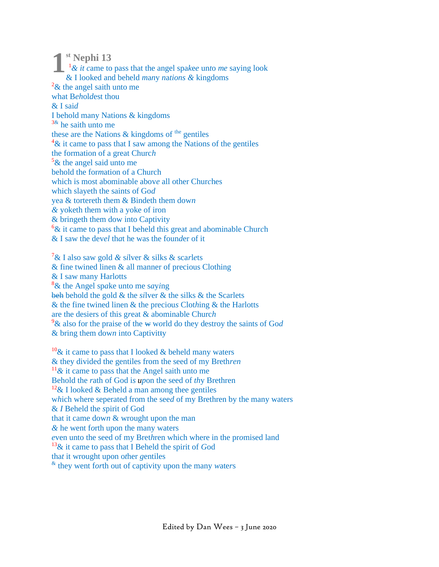<sup>st</sup> Nephi 13

 $\frac{1}{x}$  at came to pass that the angel spake unto me saying look & I looked and beheld *many nations*  $\&$  kingdoms  $2\&$  the angel saith unto me what Beholdest thou  $&$  I said I behold many Nations & kingdoms  $3\text{\&}$  he saith unto me these are the Nations  $\&$  kingdoms of <sup>the</sup> gentiles  $4\&$  it came to pass that I saw among the Nations of the gentiles the formation of a great Church  $5\&$  the angel said unto me behold the formation of a Church which is most abominable above all other Churches which slaveth the saints of God yea & tortereth them & Bindeth them down  $\&$  yoketh them with a yoke of iron & bringeth them dow into Captivity  ${}^{6}$ & it came to pass that I beheld this great and abominable Church  $\&$  I saw the devel that he was the founder of it

 $\frac{7}{8}$  I also saw gold & silver & silks & scarlets  $\&$  fine twined linen  $\&$  all manner of precious Clothing & I saw many Harlotts  $8\&$  the Angel spake unto me saying beh behold the gold  $\&$  the silver  $\&$  the silks  $\&$  the Scarlets & the fine twined linen & the precious Clothing & the Harlotts are the desiers of this great  $\&$  abominable Church <sup>9</sup>& also for the praise of the w world do they destroy the saints of God  $&$  bring them down into Captivitty

 $10\&$  it came to pass that I looked & beheld many waters & they divided the gentiles from the seed of my Brethren  $11\&$  it came to pass that the Angel saith unto me Behold the rath of God is upon the seed of thy Brethren <sup>12</sup>& I looked & Beheld a man among thee gentiles which where seperated from the seed of my Brethren by the many waters & I Beheld the spirit of God that it came down  $&$  wrought upon the man  $\&$  he went forth upon the many waters even unto the seed of my Brethren which where in the promised land  $13\&$  it came to pass that I Beheld the spirit of God that it wrought upon other gentiles  $\alpha$  they went forth out of captivity upon the many waters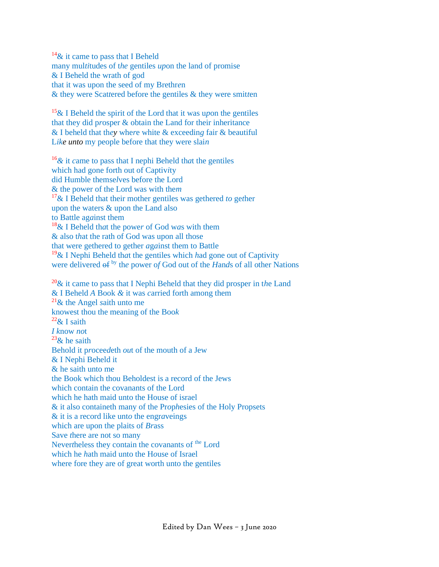$14\&$  it came to pass that I Beheld many mul*ti*tudes of t*he* gentiles *up*on the land of promise & I Beheld the wrath of god that it was upon the seed of my Brethr*e*n & they were Scat*t*ered before the gentiles & they were smit*t*en

<sup>15</sup>& I Beheld the spirit of the Lord that it was u*p*on the gentiles that they did p*r*osper & obtain the Land for their inheritance & I beheld that th*ey* whe*r*e white & exceedin*g* fair & beautiful L*ike unto* my people before that they were slai*n*

<sup>16</sup>*&* it *c*ame to pass that I nephi Beheld th*a*t the gentiles which had gone forth out of Captiv*i*ty did Humble themse*l*ves before the Lord & the power of the Lord was with the*m* <sup>17</sup>& I Beheld that their mother gentiles was gethered *to* ge*t*her upon the waters & upon the Land also to Battle ag*a*inst them <sup>18</sup>& I Beheld th*a*t the powe*r* of God w*a*s with them & also t*h*at the rath of God was upon all those that were gethered to gether *a*g*a*inst them to Battle <sup>19</sup>& I Nephi Beheld th*a*t the gentiles which *h*ad gone out of Captivity were delivered  $\theta f^{by}$  the power of God out of the *Hands* of all other Nations

<sup>20</sup>& it came to pass that I Nephi Beheld that they did prosper in t*h*e Land & I Beheld *A* Book *&* it was *c*arried forth among them <sup>21</sup>& the Angel *s*aith unto me knowest thou the meaning of the Boo*k*  $22\&$  I saith *I k*now *no*t  $^{23}$ & he saith Behold it p*r*ocee*d*eth *ou*t of the mouth of a Jew & I Nephi Beheld it & he saith unto me the Book which thou Beholdest is a record of the Jews which contain the covanants of the Lord which he hath maid unto the House of israel & it also containeth many of the Pr*o*p*h*esies of the Holy Propsets & it is a record like unt*o* the engr*a*veings which are upon the plaits of *Br*ass Save *t*here are not so many Nevertheless they contain the covanants of <sup>the</sup> Lord which he *h*ath maid unto the H*o*use of Israel where fore they are of great worth unto the gentiles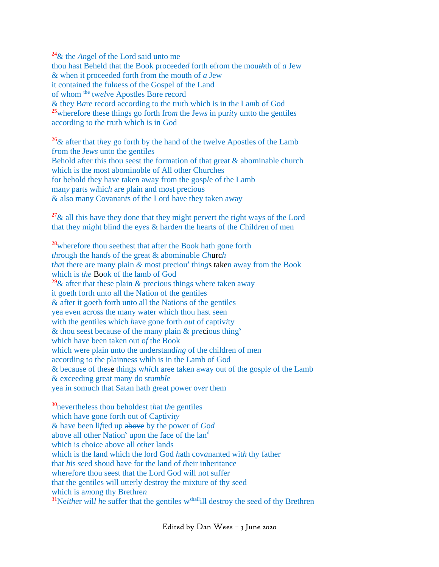<sup>24</sup>& the *An*gel of the Lord said unto me thou hast Beheld that the Book proceede*d* forth ofrom the mou*th*th of *a* Jew & when it proceeded forth from the mouth of *a* Jew it contained the ful*n*ess of the Gospel of the Land of whom the tw*el*ve Apostles B*a*re record & they B*a*re record according to the truth which is in th*e* La*m*b of God <sup>25</sup>wherefore these things go forth fro*m* the Je*ws* in pur*it*y untto the gentile*s* according to the truth which is in *G*od

<sup>26</sup>*&* after that t*h*ey go forth by the hand of the twelve Apostles of the Lamb f*r*om the Je*ws* unto the gentil*e*s Behold after this thou seest the formation of that great  $\&$  abominable church which is the most abomin*a*ble of All other Churches for behold they have taken away from the gosp*l*e of the Lamb man*y* parts w*i*hic*h* are plain and m*o*st precious & also many Covanan*t*s of the Lord ha*v*e they taken away

<sup>27</sup>& all this have they done that they might per*v*ert the ri*g*ht ways of the Lo*r*d that they mi*g*ht blind the ey*e*s & harde*n* the hearts of the *C*hild*r*en of men

<sup>28</sup>wherefore thou seethest that after the Book hath gone forth *th*rough the han*d*s of the great & abomin*a*ble *Ch*urc*h* that there are many plain & most precious things taken away from the Book which is *the* Book of the lamb of God <sup>29</sup>& after that these plain  $\&$  precious things where taken away it g*o*eth forth unto all the Nation of the gentiles & after it g*o*eth forth unto all th*e* Nations of the gentiles yea even across the many water which thou hast seen with the gentiles which *h*ave gone forth *ou*t of captiv*i*ty & thou seest because of the many plain & p*re*cious thing*<sup>s</sup>* which have been taken out o*f* th*e* Book which were plain unto the understand*ing* of the children of men according t*o* the plainness whih is in the Lamb of God & because of these things w*hi*ch aree taken away out of the gospl*e* of the Lamb & exceeding great many do stu*mbl*e yea in somuch that Satan hath great power o*ve*r them

<sup>30</sup>nevertheless thou beholdest t*h*at t*h*e gentiles which have gone forth out of Ca*p*tivi*ty* & have been li*f*ted up above by the power of *G*o*d* above all other Nation<sup>s</sup> upon the face of the land which is choi*c*e above all ot*h*er lands which is the land which the lord God *h*ath cov*a*nanted wit*h* thy father that *h*is *s*eed shoud have for the land of *t*heir inheritance wherefo*r*e thou seest that the Lord God will not suffer that the gentiles will utterly destroy the mixture of thy *s*eed which is a*m*ong thy Brethre*n* <sup>31</sup>Neither will he suffer that the gentiles  $w^{\text{shall}}$ <sup>ll</sup> destroy the seed of thy Brethren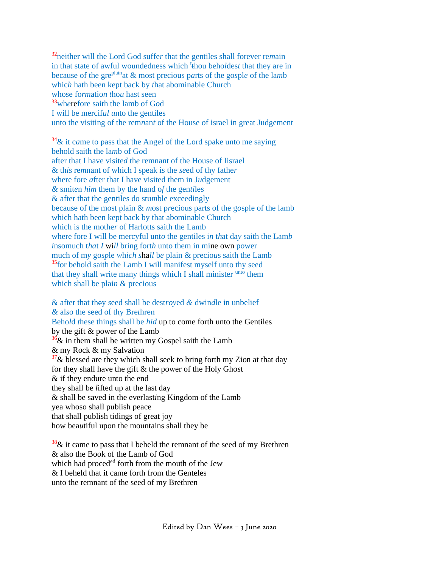<sup>32</sup>neither will the Lord God suffe*r* that the gentiles shall forever re*m*ain in that state of awful woundedness which <sup>t</sup> thou beholdes*t* that they are in because of the greplainat & most precious p*a*rts of the go*s*pl*e* of the la*m*b whic*h* hath been kept back by *t*hat abominable Church whose fo*rm*atio*n t*ho*u* hast seen <sup>33</sup>wh*e*refore saith the lamb of G*o*d I will be mercif*ul u*nto the gentiles unto the visiting of the rem*n*an*t* of the House of israel in great Judgement

<sup>34</sup>& it c*a*me to pass that the Angel of the Lord spake unto me saying behold saith the la*m*b of G*o*d after that I have visite*d* th*e* remnant of the House of Iisrael & th*i*s re*m*nant of which I speak is the *se*ed of thy fathe*r* where fore *a*fter that I have visited them in J*u*dgement *&* smit*e*n *him* them by the hand o*f* the gen*ti*les & after that the gentiles do stu*m*ble exceedingly because of the most plain & *m*ost p*r*ecious parts of the g*o*sple of the lamb which hath been kept back by that abominable Church which is the mother of Harlotts saith the Lamb where fore I will be mercyful unt*o* the gentiles i*n* t*h*at da*y* saith the Lam*b i*nsomuch t*ha*t *I* wi*ll* bring fort*h* unto them in mine own power much of m*y* gos*p*le *w*h*ich s*ha*ll* b*e* plain & precio*u*s saith the Lamb <sup>35</sup>for behold saith the Lamb I will manifest myself unto thy seed that they shall write many things which I shall minister unto them which shall be plai*n* & precious

& after that they *s*eed shall be dest*roy*ed *&* dwin*d*le in unbelief *&* al*s*o the seed of thy Bre*t*hren Beho*l*d *t*hese things shall be *hid* up to come forth unto the Gentiles by the gift & power of the Lamb  $36\%$  in them shall be written my Gospel saith the Lamb & my Rock & my Salvation  $37\&$  blessed are they which shall seek to bring forth my Zion at that day for they shall have the gift & the power of the Holy Gho*s*t & if they endure unto the end they shall be *l*ifted up at the last day & shall be saved in the everlast*i*ng Kingdom of the Lamb yea whoso shall publish peace that shall publish tidings of great joy how bea*u*tiful upon the mountains shall they be

 $38\%$  it came to pass that I beheld the remnant of the seed of my Brethren & also the Book of the Lamb of God which had proceded forth from the mouth of the Jew & I beheld that it came forth from the Genteles unto the remnant of the seed of my Brethren